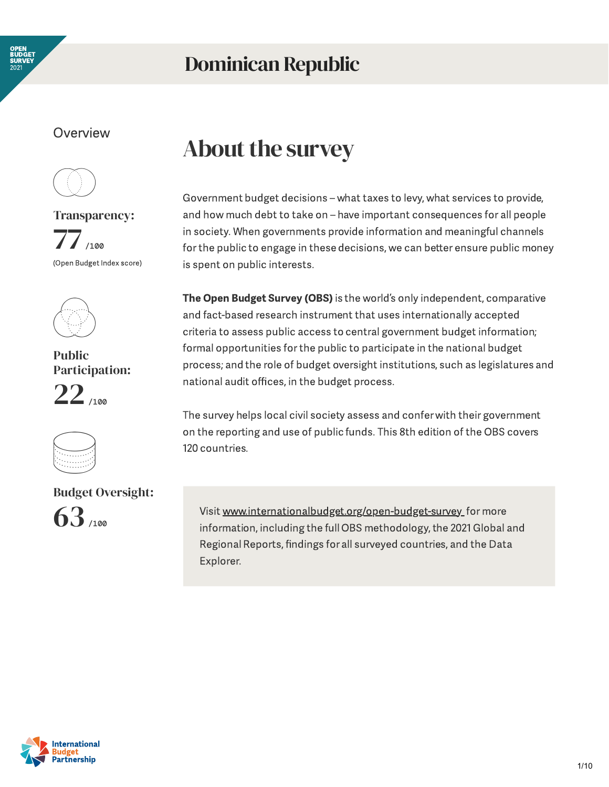

### Dominican Republic

#### **Overview**



Transparency:





Public Participation:





Budget Oversight:  $63$  /100

### About the survey

Government budget decisions – what taxes to levy, what services to provide, and how much debt to take on – have important consequences for all people in society. When governments provide information and meaningful channels for the public to engage in these decisions, we can better ensure public money is spent on public interests.

The Open Budget Survey (OBS) is the world's only independent, comparative and fact-based research instrument that uses internationally accepted criteria to assess public access to central government budget information; formal opportunities forthe public to participate in the national budget process; and the role of budget oversight institutions, such as legislatures and national audit offices, in the budget process.

The survey helps local civil society assess and confer with their government on the reporting and use of public funds. This 8th edition of the OBS covers 120 countries.

Visit [www.internationalbudget.org/open-budget-survey](http://www.openbudgetsurvey.org/) for more information, including the full OBS methodology, the 2021 Global and Regional Reports, findings for all surveyed countries, and the Data Explorer.

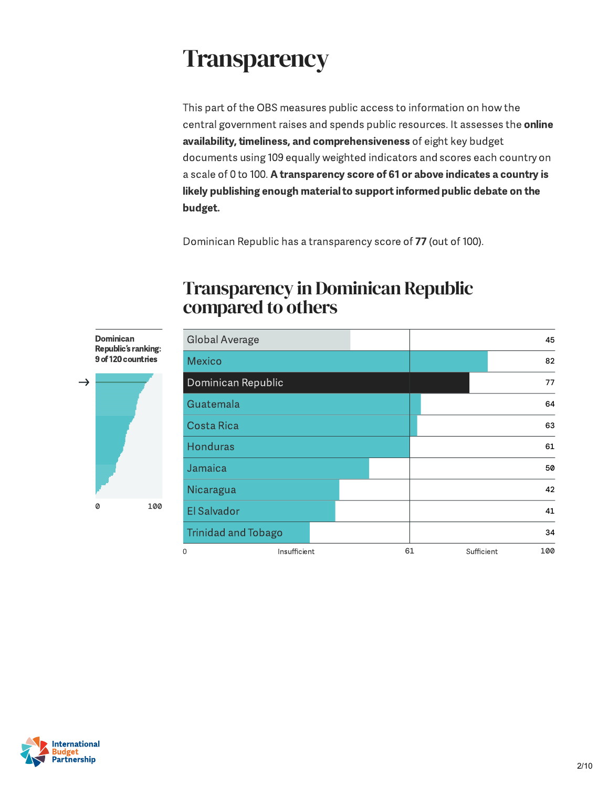### **Transparency**

This part of the OBS measures public access to information on how the central government raises and spends public resources. It assesses the online availability, timeliness, and comprehensiveness of eight key budget documents using 109 equally weighted indicators and scores each country on a scale of 0 to 100. A transparency score of 61 or above indicates a country is likely publishing enough material to support informed public debate on the budget.

Dominican Republic has a transparency score of 77 (out of 100).

### Transparency in Dominican Republic compared to others





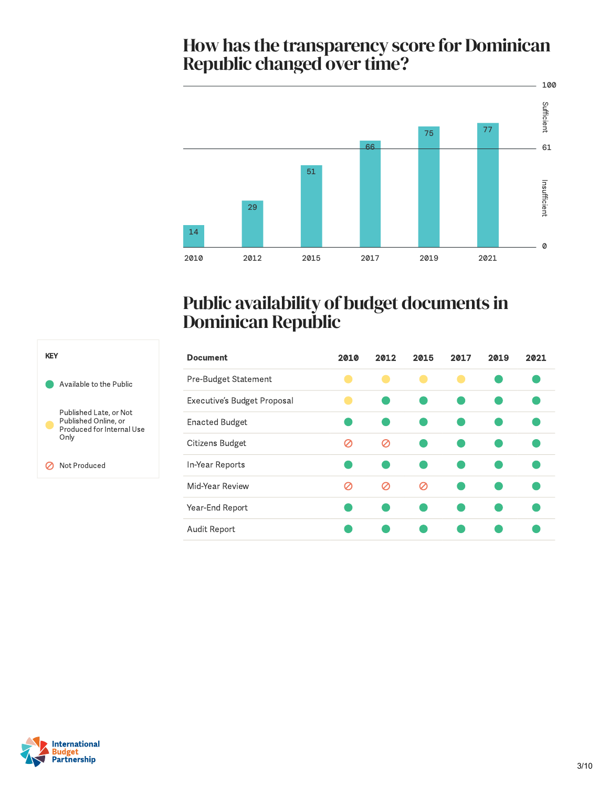# How has the transparency score for Dominican<br>Republic changed over time?



### Public availability of budget documents in Dominican Republic

| <b>Document</b>             | 2010 | 2012 | 2015 | 2017 | 2019 | 2021 |
|-----------------------------|------|------|------|------|------|------|
| Pre-Budget Statement        |      |      |      |      |      |      |
| Executive's Budget Proposal |      |      |      |      |      |      |
| <b>Enacted Budget</b>       |      |      |      |      |      |      |
| Citizens Budget             | σ    | Ø    |      |      |      |      |
| In-Year Reports             |      |      |      |      |      |      |
| Mid-Year Review             | Ø    | Ø    | Ø    |      |      |      |
| Year-End Report             |      |      |      |      |      |      |
| Audit Report                |      |      |      |      |      |      |



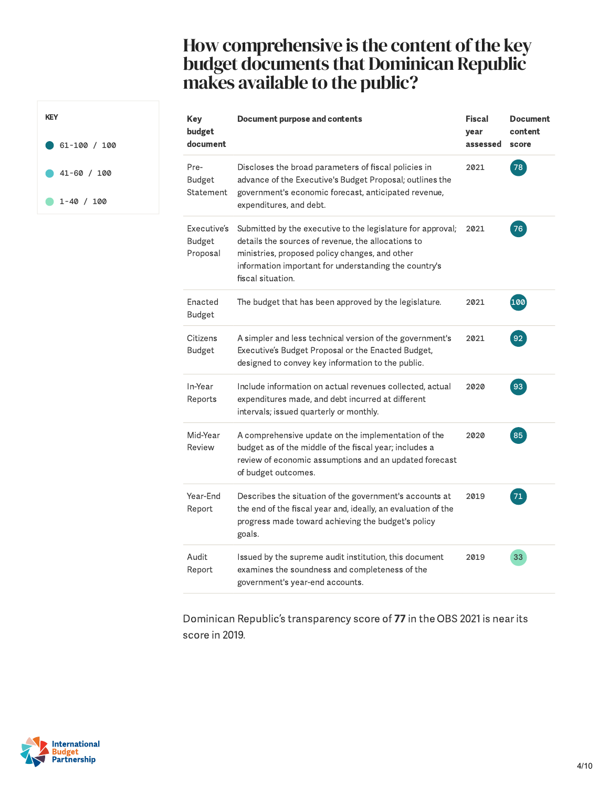### How comprehensive is the content of the key budget documents that Dominican Republic makes available to the public?

| <b>Key</b><br>budget<br>document         | <b>Document purpose and contents</b>                                                                                                                                                                                                              | <b>Fiscal</b><br>year<br>assessed | <b>Document</b><br>content<br>score |
|------------------------------------------|---------------------------------------------------------------------------------------------------------------------------------------------------------------------------------------------------------------------------------------------------|-----------------------------------|-------------------------------------|
| Pre-<br><b>Budget</b><br>Statement       | Discloses the broad parameters of fiscal policies in<br>advance of the Executive's Budget Proposal; outlines the<br>government's economic forecast, anticipated revenue,<br>expenditures, and debt.                                               | 2021                              | 78                                  |
| Executive's<br><b>Budget</b><br>Proposal | Submitted by the executive to the legislature for approval;<br>details the sources of revenue, the allocations to<br>ministries, proposed policy changes, and other<br>information important for understanding the country's<br>fiscal situation. | 2021                              | 76                                  |
| Enacted<br><b>Budget</b>                 | The budget that has been approved by the legislature.                                                                                                                                                                                             | 2021                              | 100                                 |
| Citizens<br><b>Budget</b>                | A simpler and less technical version of the government's<br>Executive's Budget Proposal or the Enacted Budget,<br>designed to convey key information to the public.                                                                               | 2021                              | 92                                  |
| In-Year<br>Reports                       | Include information on actual revenues collected, actual<br>expenditures made, and debt incurred at different<br>intervals; issued quarterly or monthly.                                                                                          | 2020                              | 93                                  |
| Mid-Year<br>Review                       | A comprehensive update on the implementation of the<br>budget as of the middle of the fiscal year; includes a<br>review of economic assumptions and an updated forecast<br>of budget outcomes.                                                    | 2020                              | 85                                  |
| Year-End<br>Report                       | Describes the situation of the government's accounts at<br>the end of the fiscal year and, ideally, an evaluation of the<br>progress made toward achieving the budget's policy<br>goals.                                                          | 2019                              | 71                                  |
| Audit<br>Report                          | Issued by the supreme audit institution, this document<br>examines the soundness and completeness of the<br>government's year-end accounts.                                                                                                       | 2019                              | 33                                  |

Dominican Republic's transparency score of 77 in the OBS 2021 is near its score in 2019.



KEY

61-100 / 100

41-60 / 100

 $1-40 / 100$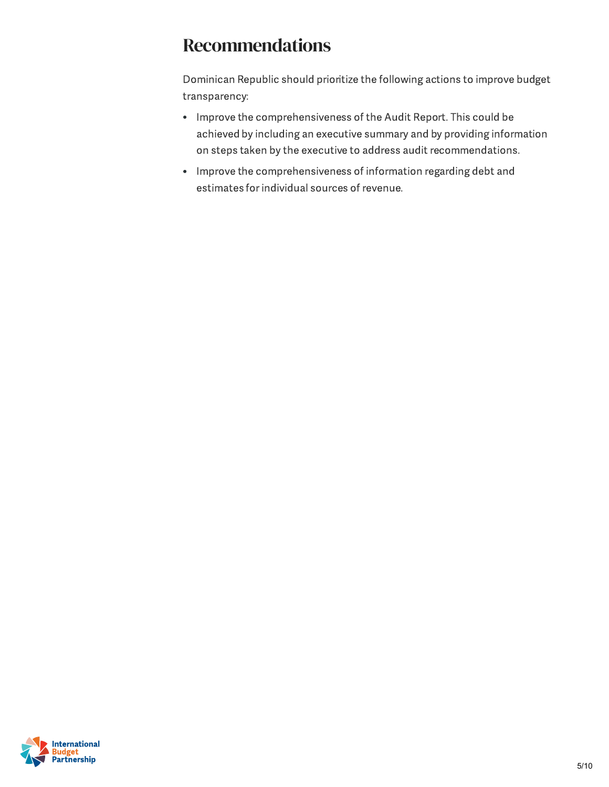Dominican Republic should prioritize the following actions to improve budget transparency:

- Recommendations<br>
Dominican Republic should prioritize the following actions to improve budget<br>
transparency.<br>
 Improve the comprehensiveness of the Audit Report. This could be<br>
achieved by including an executive is addres • Improve the comprehensiveness of the Audit Report. This could be achieved by including an executive summary and by providing information on steps taken by the executive to address audit recommendations.
- Improve the comprehensiveness of information regarding debt and estimates for individual sources of revenue.

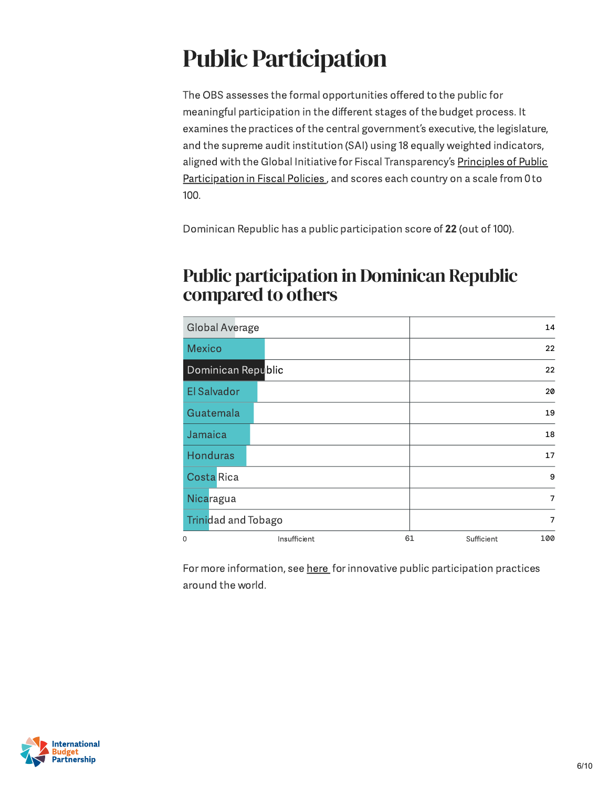## Public Participation

The OBS assesses the formal opportunities offered to the public for meaningful participation in the different stages of the budget process. It examines the practices of the central government's executive, the legislature, and the supreme audit institution (SAI) using 18 equally weighted indicators, aligned with the Global Initiative for Fiscal [Transparency](https://fiscaltransparency.net/public-participation-principles-and-guide/) 's Principles of Public Participation in Fiscal Policies, and scores each country on a scale from 0 to 100.

Dominican Republic has a public participation score of 22 (out of 100).

### Public participation in Dominican Republic compared to others

| <b>Global Average</b>      |              |    | 14                |
|----------------------------|--------------|----|-------------------|
| <b>Mexico</b>              |              |    | 22                |
| Dominican Republic         |              |    | 22                |
| El Salvador                |              |    | 20                |
| Guatemala                  |              |    | 19                |
| Jamaica                    |              |    | 18                |
| <b>Honduras</b>            |              |    | 17                |
| Costa Rica                 |              |    | 9                 |
| Nicaragua                  |              |    | $\overline{7}$    |
| <b>Trinidad and Tobago</b> |              |    | $\overline{7}$    |
| 0                          | Insufficient | 61 | 100<br>Sufficient |

For more information, see [here](https://www.fiscaltransparency.net/case-studies/) for innovative public participation practices around the world.

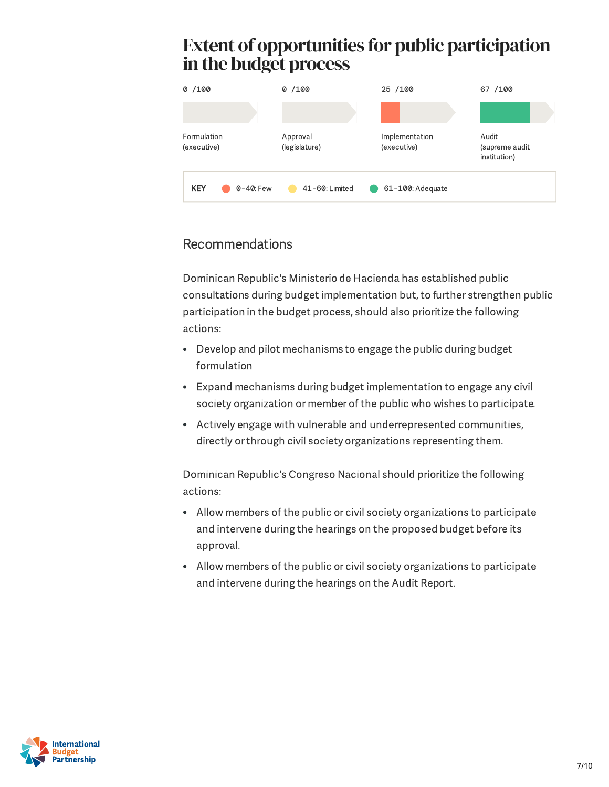# in the budget process



#### Recommendations

Dominican Republic's Ministerio de Hacienda has established public consultations during budget implementation but, to further strengthen public participation in the budget process, should also prioritize the following actions:

- Develop and pilot mechanisms to engage the public during budget formulation
- Expand mechanisms during budget implementation to engage any civil society organization or member of the public who wishes to participate.
- Actively engage with vulnerable and underrepresented communities, directly or through civil society organizations representing them.

Dominican Republic's Congreso Nacional should prioritize the following actions:

- Allow members of the public or civil society organizations to participate and intervene during the hearings on the proposed budget before its approval.
- Allow members of the public or civil society organizations to participate and intervene during the hearings on the Audit Report.

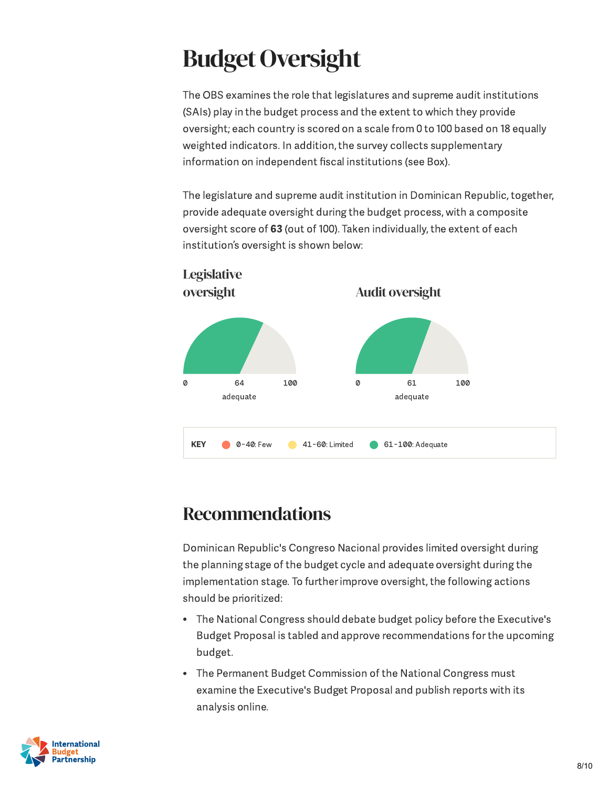## **Budget Oversight**

The OBS examines the role that legislatures and supreme audit institutions (SAIs) play in the budget process and the extent to which they provide oversight; each country is scored on a scale from 0 to 100 based on 18 equally weighted indicators. In addition, the survey collects supplementary information on independent fiscal institutions (see Box).

The legislature and supreme audit institution in Dominican Republic, together, provide adequate oversight during the budget process, with a composite oversight score of 63 (out of 100). Taken individually, the extent of each institution ' s oversight is shown below:



### Recommendations

Dominican Republic's Congreso Nacional provides limited oversight during the planning stage of the budget cycle and adequate oversight during the implementation stage. To further improve oversight, the following actions should be prioritized:

- The National Congress should debate budget policy before the Executive's Budget Proposal is tabled and approve recommendations forthe upcoming budget.
- The Permanent Budget Commission of the National Congress must  $\bullet$ examine the Executive's Budget Proposal and publish reports with its analysis online.

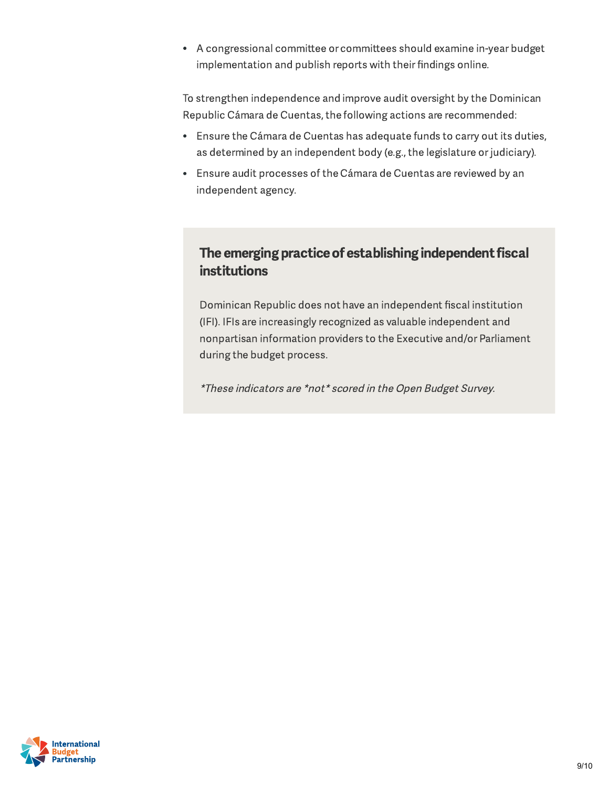A congressional committee or committees should examine in-year budget  $\bullet$ implementation and publish reports with their findings online.

To strengthen independence and improve audit oversight by the Dominican Republic Cámara de Cuentas, the following actions are recommended:

- Ensure the Cámara de Cuentas has adequate funds to carry out its duties, as determined by an independent body (e.g., the legislature or judiciary).
- Ensure audit processes of the Cámara de Cuentas are reviewed by an independent agency.

#### The emerging practice of establishing independent fiscal institutions

Dominican Republic does not have an independent fiscal institution (IFI). IFIs are increasingly recognized as valuable independent and nonpartisan information providers to the Executive and/or Parliament during the budget process.

\*These indicators are \*not\* scored in the Open Budget Survey.